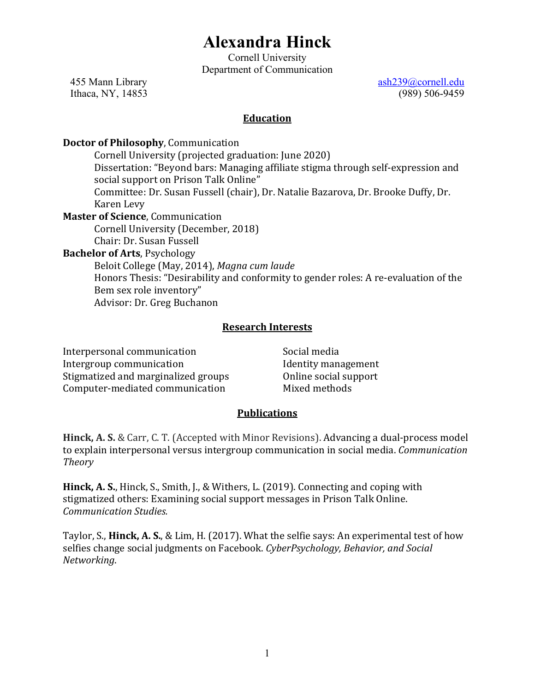# **Alexandra Hinck**

Cornell University Department of Communication

Ithaca, NY, 14853

455 Mann Library ash239@cornell.edu<br>
Ithaca, NY, 14853 (989) 506-9459

### **Education**

### **Doctor of Philosophy**, Communication

Cornell University (projected graduation: June 2020) Dissertation: "Beyond bars: Managing affiliate stigma through self-expression and social support on Prison Talk Online" Committee: Dr. Susan Fussell (chair), Dr. Natalie Bazarova, Dr. Brooke Duffy, Dr. Karen Levy **Master of Science**, Communication Cornell University (December, 2018) Chair: Dr. Susan Fussell **Bachelor of Arts**, Psychology Beloit College (May, 2014), *Magna cum laude* Honors Thesis: "Desirability and conformity to gender roles: A re-evaluation of the Bem sex role inventory" Advisor: Dr. Greg Buchanon

### **Research Interests**

Interpersonal communication Intergroup communication Stigmatized and marginalized groups Computer-mediated communication

Social media Identity management Online social support Mixed methods

### **Publications**

**Hinck, A. S.** & Carr, C. T. (Accepted with Minor Revisions). Advancing a dual-process model to explain interpersonal versus intergroup communication in social media. *Communication Theory*

**Hinck, A. S.**, Hinck, S., Smith, J., & Withers, L. (2019). Connecting and coping with stigmatized others: Examining social support messages in Prison Talk Online. *Communication Studies.*

Taylor, S., **Hinck, A. S.**, & Lim, H. (2017). What the selfie says: An experimental test of how selfies change social judgments on Facebook. *CyberPsychology, Behavior, and Social Networking*.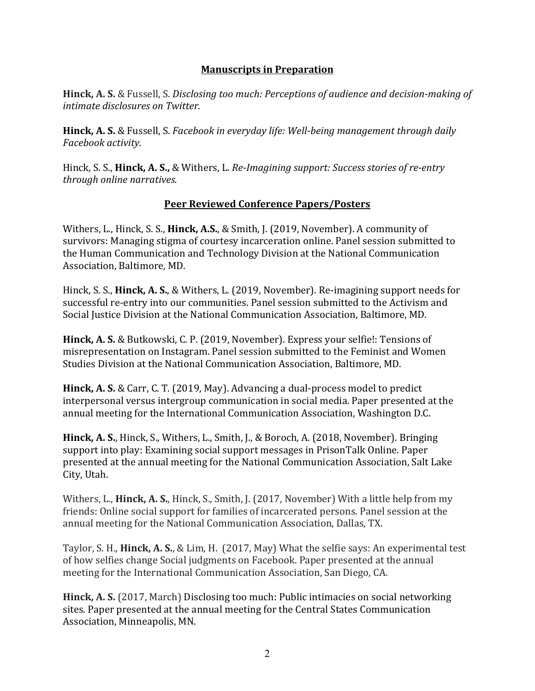## **Manuscripts in Preparation**

**Hinck, A. S.** & Fussell, S. *Disclosing too much: Perceptions of audience and decision-making of intimate disclosures on Twitter.*

**Hinck, A. S.** & Fussell, S. *Facebook in everyday life: Well-being management through daily Facebook activity.*

Hinck, S. S., **Hinck, A. S.,** & Withers, L. *Re-Imagining support: Success stories of re-entry through online narratives.*

## **Peer Reviewed Conference Papers/Posters**

Withers, L., Hinck, S. S., **Hinck, A.S.**, & Smith, J. (2019, November). A community of survivors: Managing stigma of courtesy incarceration online. Panel session submitted to the Human Communication and Technology Division at the National Communication Association, Baltimore, MD.

Hinck, S. S., **Hinck, A. S.**, & Withers, L. (2019, November). Re-imagining support needs for successful re-entry into our communities. Panel session submitted to the Activism and Social Justice Division at the National Communication Association, Baltimore, MD.

**Hinck, A. S.** & Butkowski, C. P. (2019, November). Express your selfie!: Tensions of misrepresentation on Instagram. Panel session submitted to the Feminist and Women Studies Division at the National Communication Association, Baltimore, MD.

**Hinck, A. S.** & Carr, C. T. (2019, May). Advancing a dual-process model to predict interpersonal versus intergroup communication in social media. Paper presented at the annual meeting for the International Communication Association, Washington D.C.

**Hinck, A. S.**, Hinck, S., Withers, L., Smith, J., & Boroch, A. (2018, November). Bringing support into play: Examining social support messages in PrisonTalk Online. Paper presented at the annual meeting for the National Communication Association, Salt Lake City, Utah.

Withers, L., **Hinck, A. S.**, Hinck, S., Smith, J. (2017, November) With a little help from my friends: Online social support for families of incarcerated persons. Panel session at the annual meeting for the National Communication Association, Dallas, TX.

Taylor, S. H., **Hinck, A. S.**, & Lim, H. (2017, May) What the selfie says: An experimental test of how selfies change Social judgments on Facebook. Paper presented at the annual meeting for the International Communication Association, San Diego, CA.

**Hinck, A. S.** (2017, March) Disclosing too much: Public intimacies on social networking sites. Paper presented at the annual meeting for the Central States Communication Association, Minneapolis, MN.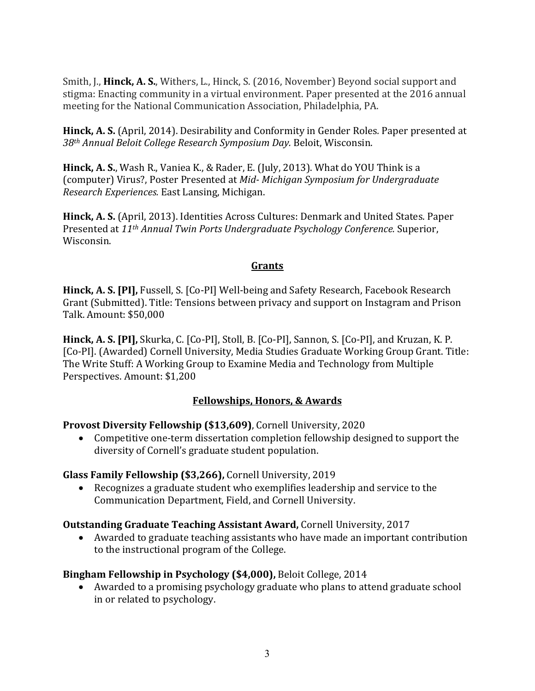Smith, J., **Hinck, A. S.**, Withers, L., Hinck, S. (2016, November) Beyond social support and stigma: Enacting community in a virtual environment. Paper presented at the 2016 annual meeting for the National Communication Association, Philadelphia, PA.

**Hinck, A. S.** (April, 2014). Desirability and Conformity in Gender Roles*.* Paper presented at *38th Annual Beloit College Research Symposium Day.* Beloit, Wisconsin.

**Hinck, A. S.**, Wash R., Vaniea K., & Rader, E. (July, 2013). What do YOU Think is a (computer) Virus?, Poster Presented at *Mid- Michigan Symposium for Undergraduate Research Experiences.* East Lansing, Michigan.

**Hinck, A. S.** (April, 2013). Identities Across Cultures: Denmark and United States. Paper Presented at *11th Annual Twin Ports Undergraduate Psychology Conference.* Superior, Wisconsin.

## **Grants**

**Hinck, A. S. [PI],** Fussell, S. [Co-PI] Well-being and Safety Research, Facebook Research Grant (Submitted). Title: Tensions between privacy and support on Instagram and Prison Talk. Amount: \$50,000

**Hinck, A. S. [PI],** Skurka, C. [Co-PI], Stoll, B. [Co-PI], Sannon, S. [Co-PI], and Kruzan, K. P. [Co-PI]. (Awarded) Cornell University, Media Studies Graduate Working Group Grant. Title: The Write Stuff: A Working Group to Examine Media and Technology from Multiple Perspectives. Amount: \$1,200

# **Fellowships, Honors, & Awards**

# **Provost Diversity Fellowship (\$13,609)**, Cornell University, 2020

• Competitive one-term dissertation completion fellowship designed to support the diversity of Cornell's graduate student population.

# **Glass Family Fellowship (\$3,266),** Cornell University, 2019

• Recognizes a graduate student who exemplifies leadership and service to the Communication Department, Field, and Cornell University.

# **Outstanding Graduate Teaching Assistant Award,** Cornell University, 2017

• Awarded to graduate teaching assistants who have made an important contribution to the instructional program of the College.

# **Bingham Fellowship in Psychology (\$4,000),** Beloit College, 2014

• Awarded to a promising psychology graduate who plans to attend graduate school in or related to psychology.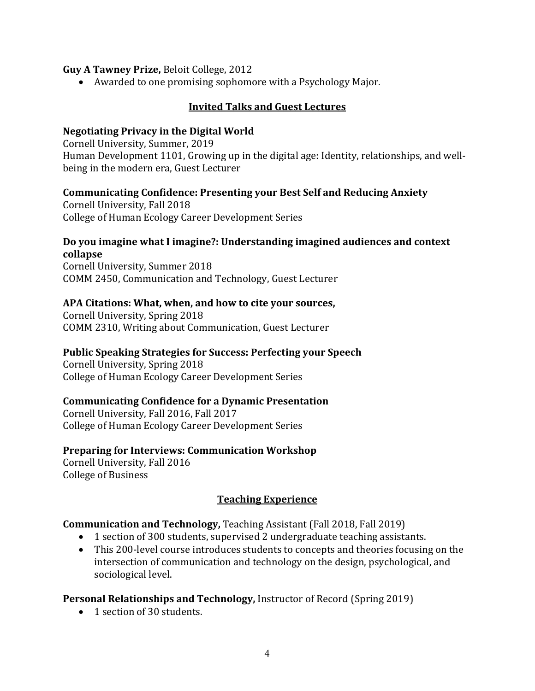#### **Guy A Tawney Prize,** Beloit College, 2012

• Awarded to one promising sophomore with a Psychology Major.

### **Invited Talks and Guest Lectures**

### **Negotiating Privacy in the Digital World**

Cornell University, Summer, 2019 Human Development 1101, Growing up in the digital age: Identity, relationships, and wellbeing in the modern era, Guest Lecturer

### **Communicating Confidence: Presenting your Best Self and Reducing Anxiety**

Cornell University, Fall 2018 College of Human Ecology Career Development Series

#### **Do you imagine what I imagine?: Understanding imagined audiences and context collapse**

Cornell University, Summer 2018 COMM 2450, Communication and Technology, Guest Lecturer

#### **APA Citations: What, when, and how to cite your sources,**

Cornell University, Spring 2018 COMM 2310, Writing about Communication, Guest Lecturer

#### **Public Speaking Strategies for Success: Perfecting your Speech**

Cornell University, Spring 2018 College of Human Ecology Career Development Series

#### **Communicating Confidence for a Dynamic Presentation**

Cornell University, Fall 2016, Fall 2017 College of Human Ecology Career Development Series

#### **Preparing for Interviews: Communication Workshop**

Cornell University, Fall 2016 College of Business

### **Teaching Experience**

### **Communication and Technology,** Teaching Assistant (Fall 2018, Fall 2019)

- 1 section of 300 students, supervised 2 undergraduate teaching assistants.
- This 200-level course introduces students to concepts and theories focusing on the intersection of communication and technology on the design, psychological, and sociological level.

### **Personal Relationships and Technology,** Instructor of Record (Spring 2019)

• 1 section of 30 students.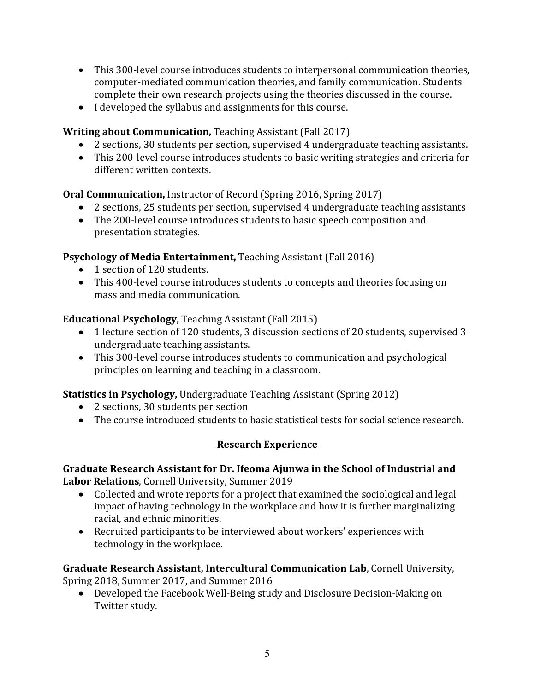- This 300-level course introduces students to interpersonal communication theories, computer-mediated communication theories, and family communication. Students complete their own research projects using the theories discussed in the course.
- I developed the syllabus and assignments for this course.

# **Writing about Communication,** Teaching Assistant (Fall 2017)

- 2 sections, 30 students per section, supervised 4 undergraduate teaching assistants.
- This 200-level course introduces students to basic writing strategies and criteria for different written contexts.

**Oral Communication,** Instructor of Record (Spring 2016, Spring 2017)

- 2 sections, 25 students per section, supervised 4 undergraduate teaching assistants
- The 200-level course introduces students to basic speech composition and presentation strategies.

# **Psychology of Media Entertainment,** Teaching Assistant (Fall 2016)

- 1 section of 120 students.
- This 400-level course introduces students to concepts and theories focusing on mass and media communication.

# **Educational Psychology,** Teaching Assistant (Fall 2015)

- 1 lecture section of 120 students, 3 discussion sections of 20 students, supervised 3 undergraduate teaching assistants.
- This 300-level course introduces students to communication and psychological principles on learning and teaching in a classroom.

# **Statistics in Psychology,** Undergraduate Teaching Assistant (Spring 2012)

- 2 sections, 30 students per section
- The course introduced students to basic statistical tests for social science research.

# **Research Experience**

## **Graduate Research Assistant for Dr. Ifeoma Ajunwa in the School of Industrial and Labor Relations**, Cornell University, Summer 2019

- Collected and wrote reports for a project that examined the sociological and legal impact of having technology in the workplace and how it is further marginalizing racial, and ethnic minorities.
- Recruited participants to be interviewed about workers' experiences with technology in the workplace.

**Graduate Research Assistant, Intercultural Communication Lab**, Cornell University, Spring 2018, Summer 2017, and Summer 2016

• Developed the Facebook Well-Being study and Disclosure Decision-Making on Twitter study.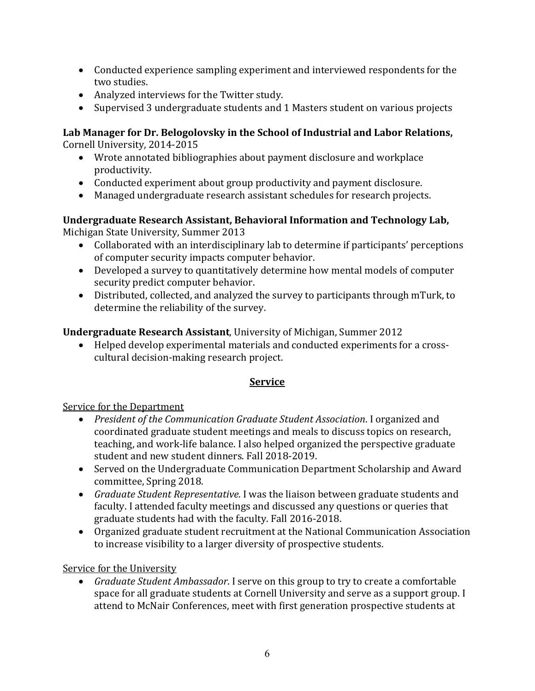- Conducted experience sampling experiment and interviewed respondents for the two studies.
- Analyzed interviews for the Twitter study.
- Supervised 3 undergraduate students and 1 Masters student on various projects

# **Lab Manager for Dr. Belogolovsky in the School of Industrial and Labor Relations,** Cornell University, 2014-2015

- Wrote annotated bibliographies about payment disclosure and workplace productivity.
- Conducted experiment about group productivity and payment disclosure.
- Managed undergraduate research assistant schedules for research projects.

#### **Undergraduate Research Assistant, Behavioral Information and Technology Lab,** Michigan State University, Summer 2013

- Collaborated with an interdisciplinary lab to determine if participants' perceptions of computer security impacts computer behavior.
- Developed a survey to quantitatively determine how mental models of computer security predict computer behavior.
- Distributed, collected, and analyzed the survey to participants through mTurk, to determine the reliability of the survey.

# **Undergraduate Research Assistant**, University of Michigan, Summer 2012

• Helped develop experimental materials and conducted experiments for a crosscultural decision-making research project.

# **Service**

# Service for the Department

- *President of the Communication Graduate Student Association*. I organized and coordinated graduate student meetings and meals to discuss topics on research, teaching, and work-life balance. I also helped organized the perspective graduate student and new student dinners. Fall 2018-2019.
- Served on the Undergraduate Communication Department Scholarship and Award committee, Spring 2018.
- *Graduate Student Representative*. I was the liaison between graduate students and faculty. I attended faculty meetings and discussed any questions or queries that graduate students had with the faculty. Fall 2016-2018.
- Organized graduate student recruitment at the National Communication Association to increase visibility to a larger diversity of prospective students.

# Service for the University

• *Graduate Student Ambassador*. I serve on this group to try to create a comfortable space for all graduate students at Cornell University and serve as a support group. I attend to McNair Conferences, meet with first generation prospective students at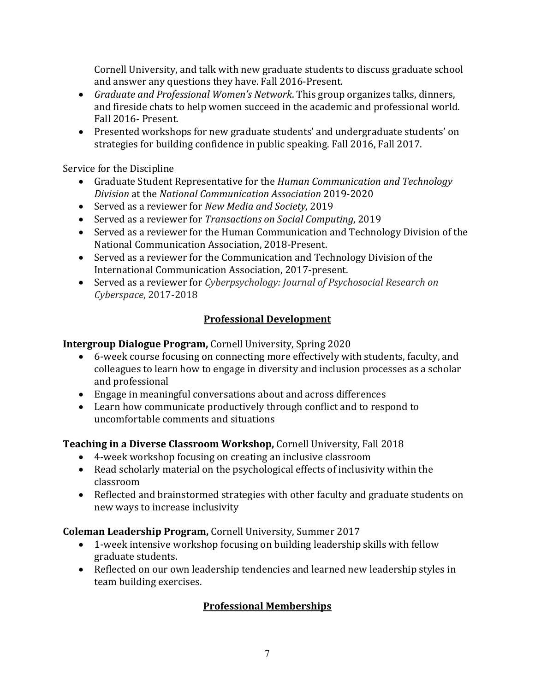Cornell University, and talk with new graduate students to discuss graduate school and answer any questions they have. Fall 2016-Present.

- *Graduate and Professional Women's Network*. This group organizes talks, dinners, and fireside chats to help women succeed in the academic and professional world. Fall 2016- Present.
- Presented workshops for new graduate students' and undergraduate students' on strategies for building confidence in public speaking. Fall 2016, Fall 2017.

Service for the Discipline

- Graduate Student Representative for the *Human Communication and Technology Division* at the *National Communication Association* 2019-2020
- Served as a reviewer for *New Media and Society*, 2019
- Served as a reviewer for *Transactions on Social Computing*, 2019
- Served as a reviewer for the Human Communication and Technology Division of the National Communication Association, 2018-Present.
- Served as a reviewer for the Communication and Technology Division of the International Communication Association, 2017-present.
- Served as a reviewer for *Cyberpsychology: Journal of Psychosocial Research on Cyberspace*, 2017-2018

# **Professional Development**

**Intergroup Dialogue Program,** Cornell University, Spring 2020

- 6-week course focusing on connecting more effectively with students, faculty, and colleagues to learn how to engage in diversity and inclusion processes as a scholar and professional
- Engage in meaningful conversations about and across differences
- Learn how communicate productively through conflict and to respond to uncomfortable comments and situations

**Teaching in a Diverse Classroom Workshop,** Cornell University, Fall 2018

- 4-week workshop focusing on creating an inclusive classroom
- Read scholarly material on the psychological effects of inclusivity within the classroom
- Reflected and brainstormed strategies with other faculty and graduate students on new ways to increase inclusivity

**Coleman Leadership Program,** Cornell University, Summer 2017

- 1-week intensive workshop focusing on building leadership skills with fellow graduate students.
- Reflected on our own leadership tendencies and learned new leadership styles in team building exercises.

# **Professional Memberships**